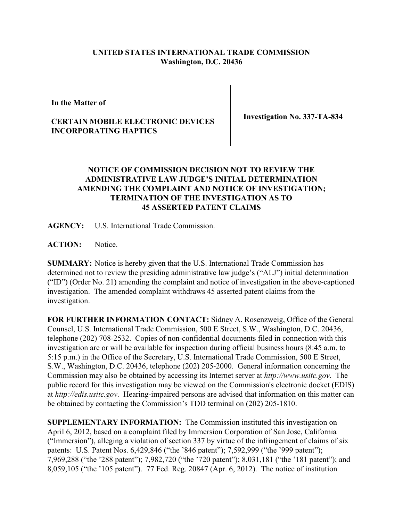## **UNITED STATES INTERNATIONAL TRADE COMMISSION Washington, D.C. 20436**

**In the Matter of**

## **CERTAIN MOBILE ELECTRONIC DEVICES INCORPORATING HAPTICS**

**Investigation No. 337-TA-834**

## **NOTICE OF COMMISSION DECISION NOT TO REVIEW THE ADMINISTRATIVE LAW JUDGE'S INITIAL DETERMINATION AMENDING THE COMPLAINT AND NOTICE OF INVESTIGATION; TERMINATION OF THE INVESTIGATION AS TO 45 ASSERTED PATENT CLAIMS**

**AGENCY:** U.S. International Trade Commission.

**ACTION:** Notice.

**SUMMARY:** Notice is hereby given that the U.S. International Trade Commission has determined not to review the presiding administrative law judge's ("ALJ") initial determination ("ID") (Order No. 21) amending the complaint and notice of investigation in the above-captioned investigation. The amended complaint withdraws 45 asserted patent claims from the investigation.

**FOR FURTHER INFORMATION CONTACT:** Sidney A. Rosenzweig, Office of the General Counsel, U.S. International Trade Commission, 500 E Street, S.W., Washington, D.C. 20436, telephone (202) 708-2532. Copies of non-confidential documents filed in connection with this investigation are or will be available for inspection during official business hours (8:45 a.m. to 5:15 p.m.) in the Office of the Secretary, U.S. International Trade Commission, 500 E Street, S.W., Washington, D.C. 20436, telephone (202) 205-2000. General information concerning the Commission may also be obtained by accessing its Internet server at *http://www.usitc.gov*. The public record for this investigation may be viewed on the Commission's electronic docket (EDIS) at *http://edis.usitc.gov*. Hearing-impaired persons are advised that information on this matter can be obtained by contacting the Commission's TDD terminal on (202) 205-1810.

**SUPPLEMENTARY INFORMATION:** The Commission instituted this investigation on April 6, 2012, based on a complaint filed by Immersion Corporation of San Jose, California ("Immersion"), alleging a violation of section 337 by virtue of the infringement of claims of six patents: U.S. Patent Nos. 6,429,846 ("the '846 patent"); 7,592,999 ("the '999 patent"); 7,969,288 ("the '288 patent"); 7,982,720 ("the '720 patent"); 8,031,181 ("the '181 patent"); and 8,059,105 ("the '105 patent"). 77 Fed. Reg. 20847 (Apr. 6, 2012). The notice of institution